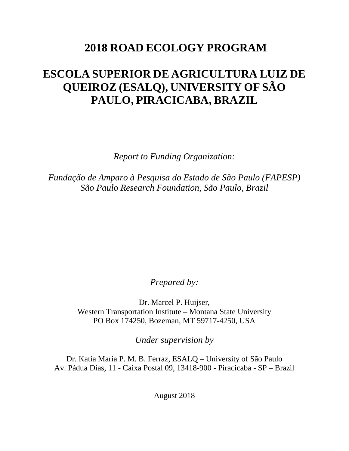# **2018 ROAD ECOLOGY PROGRAM**

# **ESCOLA SUPERIOR DE AGRICULTURA LUIZ DE QUEIROZ (ESALQ), UNIVERSITY OF SÃO PAULO, PIRACICABA, BRAZIL**

*Report to Funding Organization:*

*Fundação de Amparo à Pesquisa do Estado de São Paulo (FAPESP) São Paulo Research Foundation, São Paulo, Brazil*

*Prepared by:*

Dr. Marcel P. Huijser, Western Transportation Institute – Montana State University PO Box 174250, Bozeman, MT 59717-4250, USA

*Under supervision by*

Dr. Katia Maria P. M. B. Ferraz, ESALQ – University of São Paulo Av. Pádua Dias, 11 - Caixa Postal 09, 13418-900 - Piracicaba - SP – Brazil

August 2018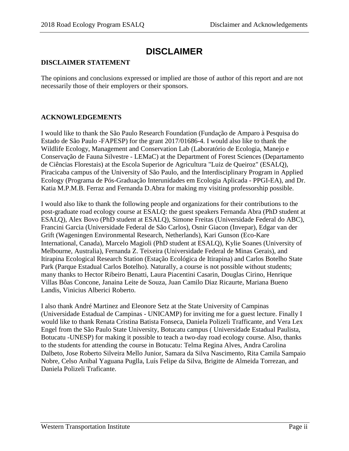# **DISCLAIMER**

#### **DISCLAIMER STATEMENT**

The opinions and conclusions expressed or implied are those of author of this report and are not necessarily those of their employers or their sponsors.

#### **ACKNOWLEDGEMENTS**

I would like to thank the São Paulo Research Foundation (Fundação de Amparo à Pesquisa do Estado de São Paulo -FAPESP) for the grant 2017/01686-4. I would also like to thank the Wildlife Ecology, Management and Conservation Lab (Laboratório de Ecologia, Manejo e Conservação de Fauna Silvestre - LEMaC) at the Department of Forest Sciences (Departamento de Ciências Florestais) at the Escola Superior de Agricultura "Luiz de Queiroz" (ESALQ), Piracicaba campus of the University of São Paulo, and the Interdisciplinary Program in Applied Ecology (Programa de Pós-Graduação Interunidades em Ecologia Aplicada - PPGI-EA), and Dr. Katia M.P.M.B. Ferraz and Fernanda D.Abra for making my visiting professorship possible.

I would also like to thank the following people and organizations for their contributions to the post-graduate road ecology course at ESALQ: the guest speakers Fernanda Abra (PhD student at ESALQ), Alex Bovo (PhD student at ESALQ), Simone Freitas (Universidade Federal do ABC), Francini Garcia (Universidade Federal de São Carlos), Osnir Giacon (Invepar), Edgar van der Grift (Wageningen Environmental Research, Netherlands), Kari Gunson (Eco-Kare International, Canada), Marcelo Magioli (PhD student at ESALQ), Kylie Soanes (University of Melbourne, Australia), Fernanda Z. Teixeira (Universidade Federal de Minas Gerais), and Itirapina Ecological Research Station (Estação Ecológica de Itirapina) and Carlos Botelho State Park (Parque Estadual Carlos Botelho). Naturally, a course is not possible without students; many thanks to Hector Ribeiro Benatti, Laura Piacentini Casarin, Douglas Cirino, Henrique Villas Bôas Concone, Janaina Leite de Souza, Juan Camilo Diaz Ricaurte, Mariana Bueno Landis, Vinicius Alberici Roberto.

I also thank André Martinez and Eleonore Setz at the State University of Campinas (Universidade Estadual de Campinas - UNICAMP) for inviting me for a guest lecture. Finally I would like to thank Renata Cristina Batista Fonseca, Daniela Polizeli Trafficante, and Vera Lex Engel from the São Paulo State University, Botucatu campus ( Universidade Estadual Paulista, Botucatu -UNESP) for making it possible to teach a two-day road ecology course. Also, thanks to the students for attending the course in Botucatu: Telma Regina Alves, Andra Carolina Dalbeto, Jose Roberto Silveira Mello Junior, Samara da Silva Nascimento, Rita Camila Sampaio Nobre, Celso Anibal Yaguana Puglla, Luís Felipe da Silva, Brigitte de Almeida Torrezan, and Daniela Polizeli Traficante.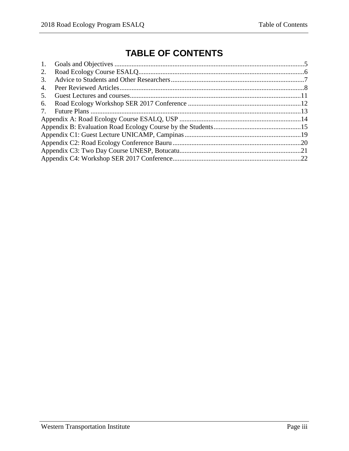# **TABLE OF CONTENTS**

| 1. |  |
|----|--|
| 2. |  |
| 3. |  |
| 4. |  |
| 5. |  |
| 6. |  |
|    |  |
|    |  |
|    |  |
|    |  |
|    |  |
|    |  |
|    |  |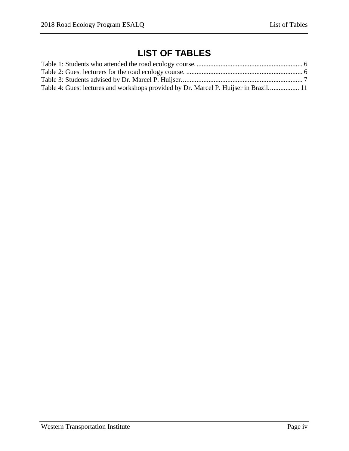# **LIST OF TABLES**

| Table 4: Guest lectures and workshops provided by Dr. Marcel P. Huijser in Brazil 11 |  |
|--------------------------------------------------------------------------------------|--|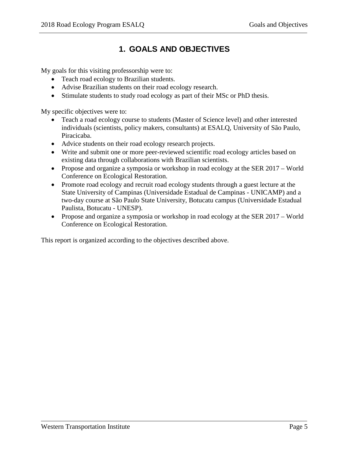# **1. GOALS AND OBJECTIVES**

<span id="page-4-0"></span>My goals for this visiting professorship were to:

- Teach road ecology to Brazilian students.
- Advise Brazilian students on their road ecology research.
- Stimulate students to study road ecology as part of their MSc or PhD thesis.

My specific objectives were to:

- Teach a road ecology course to students (Master of Science level) and other interested individuals (scientists, policy makers, consultants) at ESALQ, University of São Paulo, Piracicaba.
- Advice students on their road ecology research projects.
- Write and submit one or more peer-reviewed scientific road ecology articles based on existing data through collaborations with Brazilian scientists.
- Propose and organize a symposia or workshop in road ecology at the SER 2017 World Conference on Ecological Restoration.
- Promote road ecology and recruit road ecology students through a guest lecture at the State University of Campinas (Universidade Estadual de Campinas - UNICAMP) and a two-day course at São Paulo State University, Botucatu campus (Universidade Estadual Paulista, Botucatu - UNESP).
- Propose and organize a symposia or workshop in road ecology at the SER 2017 World Conference on Ecological Restoration.

This report is organized according to the objectives described above.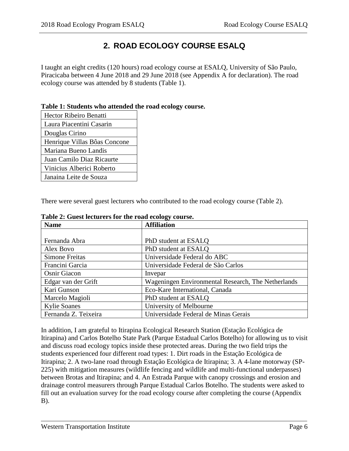## **2. ROAD ECOLOGY COURSE ESALQ**

<span id="page-5-0"></span>I taught an eight credits (120 hours) road ecology course at ESALQ, University of São Paulo, Piracicaba between 4 June 2018 and 29 June 2018 (see Appendix A for declaration). The road ecology course was attended by 8 students (Table 1).

#### <span id="page-5-1"></span>**Table 1: Students who attended the road ecology course.**

| <b>Hector Ribeiro Benatti</b> |
|-------------------------------|
| Laura Piacentini Casarin      |
| Douglas Cirino                |
| Henrique Villas Bôas Concone  |
| Mariana Bueno Landis          |
| Juan Camilo Diaz Ricaurte     |
| Vinicius Alberici Roberto     |
| Janaina Leite de Souza        |

There were several guest lecturers who contributed to the road ecology course (Table 2).

| <b>Name</b>           | <b>Affiliation</b>                                 |
|-----------------------|----------------------------------------------------|
|                       |                                                    |
| Fernanda Abra         | PhD student at ESALO                               |
| Alex Bovo             | PhD student at ESALO                               |
| <b>Simone Freitas</b> | Universidade Federal do ABC                        |
| Francini Garcia       | Universidade Federal de São Carlos                 |
| <b>Osnir Giacon</b>   | Invepar                                            |
| Edgar van der Grift   | Wageningen Environmental Research, The Netherlands |
| Kari Gunson           | Eco-Kare International, Canada                     |
| Marcelo Magioli       | PhD student at ESALO                               |
| <b>Kylie Soanes</b>   | University of Melbourne                            |
| Fernanda Z. Teixeira  | Universidade Federal de Minas Gerais               |

<span id="page-5-2"></span>**Table 2: Guest lecturers for the road ecology course.**

In addition, I am grateful to Itirapina Ecological Research Station (Estação Ecológica de Itirapina) and Carlos Botelho State Park (Parque Estadual Carlos Botelho) for allowing us to visit and discuss road ecology topics inside these protected areas. During the two field trips the students experienced four different road types: 1. Dirt roads in the Estação Ecológica de Itirapina; 2. A two-lane road through Estação Ecológica de Itirapina; 3. A 4-lane motorway (SP-225) with mitigation measures (wildlife fencing and wildlife and multi-functional underpasses) between Brotas and Itirapina; and 4. An Estrada Parque with canopy crossings and erosion and drainage control measurers through Parque Estadual Carlos Botelho. The students were asked to fill out an evaluation survey for the road ecology course after completing the course (Appendix B).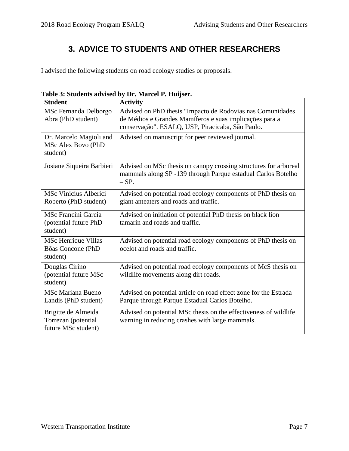# **3. ADVICE TO STUDENTS AND OTHER RESEARCHERS**

<span id="page-6-0"></span>I advised the following students on road ecology studies or proposals.

| <b>Student</b>                                                    | <b>Activity</b>                                                                                                                                                           |
|-------------------------------------------------------------------|---------------------------------------------------------------------------------------------------------------------------------------------------------------------------|
| MSc Fernanda Delborgo<br>Abra (PhD student)                       | Advised on PhD thesis "Impacto de Rodovias nas Comunidades<br>de Médios e Grandes Mamíferos e suas implicações para a<br>conservação". ESALQ, USP, Piracicaba, São Paulo. |
| Dr. Marcelo Magioli and<br>MSc Alex Bovo (PhD<br>student)         | Advised on manuscript for peer reviewed journal.                                                                                                                          |
| Josiane Siqueira Barbieri                                         | Advised on MSc thesis on canopy crossing structures for arboreal<br>mammals along SP -139 through Parque estadual Carlos Botelho<br>$-$ SP.                               |
| MSc Vinicius Alberici<br>Roberto (PhD student)                    | Advised on potential road ecology components of PhD thesis on<br>giant anteaters and roads and traffic.                                                                   |
| <b>MSc Francini Garcia</b><br>(potential future PhD<br>student)   | Advised on initiation of potential PhD thesis on black lion<br>tamarin and roads and traffic.                                                                             |
| MSc Henrique Villas<br>Bôas Concone (PhD<br>student)              | Advised on potential road ecology components of PhD thesis on<br>ocelot and roads and traffic.                                                                            |
| Douglas Cirino<br>(potential future MSc<br>student)               | Advised on potential road ecology components of McS thesis on<br>wildlife movements along dirt roads.                                                                     |
| <b>MSc Mariana Bueno</b><br>Landis (PhD student)                  | Advised on potential article on road effect zone for the Estrada<br>Parque through Parque Estadual Carlos Botelho.                                                        |
| Brigitte de Almeida<br>Torrezan (potential<br>future MSc student) | Advised on potential MSc thesis on the effectiveness of wildlife<br>warning in reducing crashes with large mammals.                                                       |

<span id="page-6-1"></span>**Table 3: Students advised by Dr. Marcel P. Huijser.**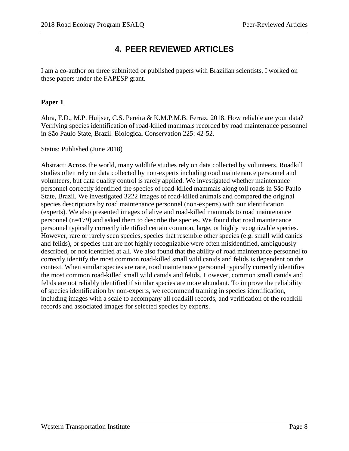### **4. PEER REVIEWED ARTICLES**

<span id="page-7-0"></span>I am a co-author on three submitted or published papers with Brazilian scientists. I worked on these papers under the FAPESP grant.

#### **Paper 1**

Abra, F.D., M.P. Huijser, C.S. Pereira & K.M.P.M.B. Ferraz. 2018. How reliable are your data? Verifying species identification of road-killed mammals recorded by road maintenance personnel in São Paulo State, Brazil. Biological Conservation 225: 42-52.

Status: Published (June 2018)

Abstract: Across the world, many wildlife studies rely on data collected by volunteers. Roadkill studies often rely on data collected by non-experts including road maintenance personnel and volunteers, but data quality control is rarely applied. We investigated whether maintenance personnel correctly identified the species of road-killed mammals along toll roads in São Paulo State, Brazil. We investigated 3222 images of road-killed animals and compared the original species descriptions by road maintenance personnel (non-experts) with our identification (experts). We also presented images of alive and road-killed mammals to road maintenance personnel (n=179) and asked them to describe the species. We found that road maintenance personnel typically correctly identified certain common, large, or highly recognizable species. However, rare or rarely seen species, species that resemble other species (e.g. small wild canids and felids), or species that are not highly recognizable were often misidentified, ambiguously described, or not identified at all. We also found that the ability of road maintenance personnel to correctly identify the most common road-killed small wild canids and felids is dependent on the context. When similar species are rare, road maintenance personnel typically correctly identifies the most common road-killed small wild canids and felids. However, common small canids and felids are not reliably identified if similar species are more abundant. To improve the reliability of species identification by non-experts, we recommend training in species identification, including images with a scale to accompany all roadkill records, and verification of the roadkill records and associated images for selected species by experts.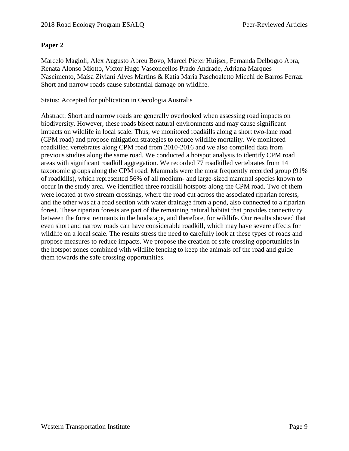#### **Paper 2**

Marcelo Magioli, Alex Augusto Abreu Bovo, Marcel Pieter Huijser, Fernanda Delbogro Abra, Renata Alonso Miotto, Victor Hugo Vasconcellos Prado Andrade, Adriana Marques Nascimento, Maísa Ziviani Alves Martins & Katia Maria Paschoaletto Micchi de Barros Ferraz. Short and narrow roads cause substantial damage on wildlife.

Status: Accepted for publication in Oecologia Australis

Abstract: Short and narrow roads are generally overlooked when assessing road impacts on biodiversity. However, these roads bisect natural environments and may cause significant impacts on wildlife in local scale. Thus, we monitored roadkills along a short two-lane road (CPM road) and propose mitigation strategies to reduce wildlife mortality. We monitored roadkilled vertebrates along CPM road from 2010-2016 and we also compiled data from previous studies along the same road. We conducted a hotspot analysis to identify CPM road areas with significant roadkill aggregation. We recorded 77 roadkilled vertebrates from 14 taxonomic groups along the CPM road. Mammals were the most frequently recorded group (91% of roadkills), which represented 56% of all medium- and large-sized mammal species known to occur in the study area. We identified three roadkill hotspots along the CPM road. Two of them were located at two stream crossings, where the road cut across the associated riparian forests, and the other was at a road section with water drainage from a pond, also connected to a riparian forest. These riparian forests are part of the remaining natural habitat that provides connectivity between the forest remnants in the landscape, and therefore, for wildlife. Our results showed that even short and narrow roads can have considerable roadkill, which may have severe effects for wildlife on a local scale. The results stress the need to carefully look at these types of roads and propose measures to reduce impacts. We propose the creation of safe crossing opportunities in the hotspot zones combined with wildlife fencing to keep the animals off the road and guide them towards the safe crossing opportunities.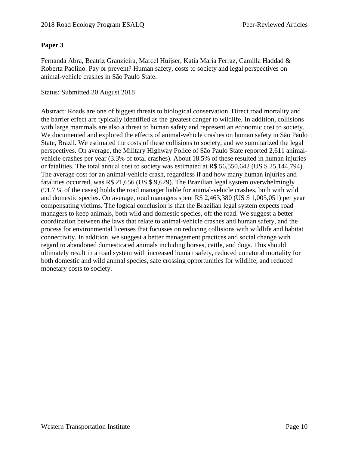#### **Paper 3**

Fernanda Abra, Beatriz Granzieira, Marcel Huijser, Katia Maria Ferraz, Camilla Haddad & Roberta Paolino. Pay or prevent? Human safety, costs to society and legal perspectives on animal-vehicle crashes in São Paulo State.

#### Status: Submitted 20 August 2018

Abstract: Roads are one of biggest threats to biological conservation. Direct road mortality and the barrier effect are typically identified as the greatest danger to wildlife. In addition, collisions with large mammals are also a threat to human safety and represent an economic cost to society. We documented and explored the effects of animal-vehicle crashes on human safety in São Paulo State, Brazil. We estimated the costs of these collisions to society, and we summarized the legal perspectives. On average, the Military Highway Police of São Paulo State reported 2,611 animalvehicle crashes per year (3.3% of total crashes). About 18.5% of these resulted in human injuries or fatalities. The total annual cost to society was estimated at R\$ 56,550,642 (US \$ 25,144,794). The average cost for an animal-vehicle crash, regardless if and how many human injuries and fatalities occurred, was R\$ 21,656 (US \$ 9,629). The Brazilian legal system overwhelmingly (91.7 % of the cases) holds the road manager liable for animal-vehicle crashes, both with wild and domestic species. On average, road managers spent R\$ 2,463,380 (US \$ 1,005,051) per year compensating victims. The logical conclusion is that the Brazilian legal system expects road managers to keep animals, both wild and domestic species, off the road. We suggest a better coordination between the laws that relate to animal-vehicle crashes and human safety, and the process for environmental licenses that focusses on reducing collisions with wildlife and habitat connectivity. In addition, we suggest a better management practices and social change with regard to abandoned domesticated animals including horses, cattle, and dogs. This should ultimately result in a road system with increased human safety, reduced unnatural mortality for both domestic and wild animal species, safe crossing opportunities for wildlife, and reduced monetary costs to society.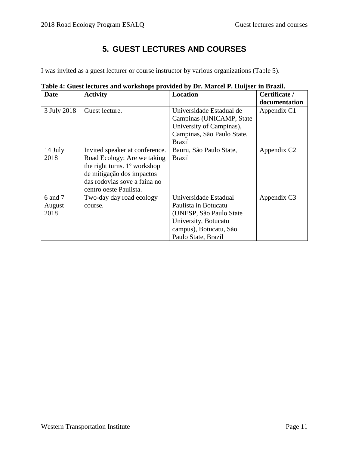# **5. GUEST LECTURES AND COURSES**

<span id="page-10-0"></span>I was invited as a guest lecturer or course instructor by various organizations (Table 5).

| <b>Date</b>               | <b>Activity</b>                                                                                                                                                                                  | <b>Location</b>                                                                                                                                    | Certificate /           |
|---------------------------|--------------------------------------------------------------------------------------------------------------------------------------------------------------------------------------------------|----------------------------------------------------------------------------------------------------------------------------------------------------|-------------------------|
|                           |                                                                                                                                                                                                  |                                                                                                                                                    | documentation           |
| 3 July 2018               | Guest lecture.                                                                                                                                                                                   | Universidade Estadual de<br>Campinas (UNICAMP, State<br>University of Campinas),<br>Campinas, São Paulo State,<br><b>Brazil</b>                    | Appendix C1             |
| 14 July<br>2018           | Invited speaker at conference.<br>Road Ecology: Are we taking<br>the right turns. 1 <sup>°</sup> workshop<br>de mitigação dos impactos<br>das rodovias sove a faina no<br>centro oeste Paulista. | Bauru, São Paulo State,<br><b>Brazil</b>                                                                                                           | Appendix C <sub>2</sub> |
| 6 and 7<br>August<br>2018 | Two-day day road ecology<br>course.                                                                                                                                                              | Universidade Estadual<br>Paulista in Botucatu<br>(UNESP, São Paulo State)<br>University, Botucatu<br>campus), Botucatu, São<br>Paulo State, Brazil | Appendix C3             |

<span id="page-10-1"></span>**Table 4: Guest lectures and workshops provided by Dr. Marcel P. Huijser in Brazil.**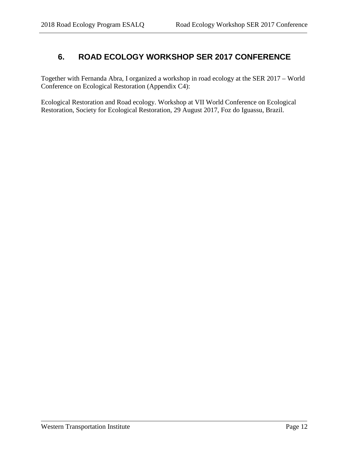### <span id="page-11-0"></span>**6. ROAD ECOLOGY WORKSHOP SER 2017 CONFERENCE**

Together with Fernanda Abra, I organized a workshop in road ecology at the SER 2017 – World Conference on Ecological Restoration (Appendix C4):

Ecological Restoration and Road ecology. Workshop at VII World Conference on Ecological Restoration, Society for Ecological Restoration, 29 August 2017, Foz do Iguassu, Brazil.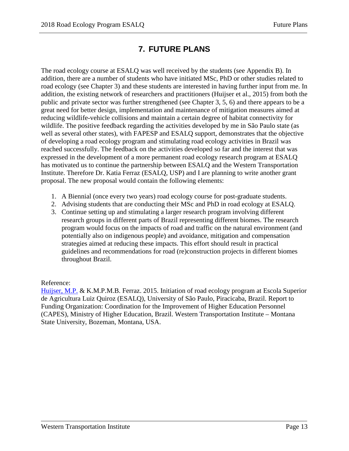# **7. FUTURE PLANS**

<span id="page-12-0"></span>The road ecology course at ESALQ was well received by the students (see Appendix B). In addition, there are a number of students who have initiated MSc, PhD or other studies related to road ecology (see Chapter 3) and these students are interested in having further input from me. In addition, the existing network of researchers and practitioners (Huijser et al., 2015) from both the public and private sector was further strengthened (see Chapter 3, 5, 6) and there appears to be a great need for better design, implementation and maintenance of mitigation measures aimed at reducing wildlife-vehicle collisions and maintain a certain degree of habitat connectivity for wildlife. The positive feedback regarding the activities developed by me in São Paulo state (as well as several other states), with FAPESP and ESALQ support, demonstrates that the objective of developing a road ecology program and stimulating road ecology activities in Brazil was reached successfully. The feedback on the activities developed so far and the interest that was expressed in the development of a more permanent road ecology research program at ESALQ has motivated us to continue the partnership between ESALQ and the Western Transportation Institute. Therefore Dr. Katia Ferraz (ESALQ, USP) and I are planning to write another grant proposal. The new proposal would contain the following elements:

- 1. A Biennial (once every two years) road ecology course for post-graduate students.
- 2. Advising students that are conducting their MSc and PhD in road ecology at ESALQ.
- 3. Continue setting up and stimulating a larger research program involving different research groups in different parts of Brazil representing different biomes. The research program would focus on the impacts of road and traffic on the natural environment (and potentially also on indigenous people) and avoidance, mitigation and compensation strategies aimed at reducing these impacts. This effort should result in practical guidelines and recommendations for road (re)construction projects in different biomes throughout Brazil.

#### Reference:

[Huijser, M.P.](https://docs.wixstatic.com/ugd/9d46fb_edb052825fa74571926074937ea50f0e.pdf) & K.M.P.M.B. Ferraz. 2015. Initiation of road ecology program at Escola Superior de Agricultura Luiz Quiroz (ESALQ), University of São Paulo, Piracicaba, Brazil. Report to Funding Organization: Coordination for the Improvement of Higher Education Personnel (CAPES), Ministry of Higher Education, Brazil. Western Transportation Institute – Montana State University, Bozeman, Montana, USA.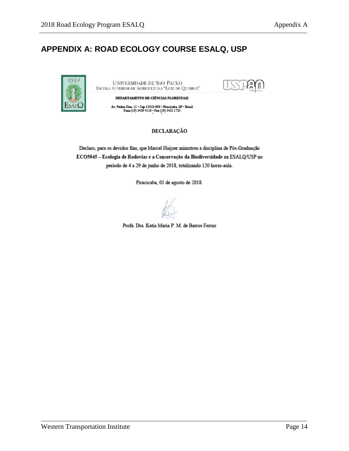# <span id="page-13-0"></span>**APPENDIX A: ROAD ECOLOGY COURSE ESALQ, USP**



UNIVERSIDADE DE SÃO PAULO ESCOLA SUPERIOR DE AGRICULTURA "LUIZ DE QUEIROZ"



DEPARTAMENTO DE CIÊNCIAS FLORESTAIS

Av. Padua Dias, 11 - Cep 13418-900 - Piracicaba, SP - Brasil Fone (19) 3429 4110 - Fax (19) 3422 1733

#### **DECLARAÇÃO**

Declaro, para os devidos fins, que Marcel Huijser ministrou a disciplina de Pós-Graduação ECO5045 - Ecologia de Rodovias e a Conservação da Biodiversidade na ESALQ/USP no período de 4 a 29 de junho de 2018, totalizando 120 horas-aula.

Piracicaba, 01 de agosto de 2018.

Profa. Dra. Katia Maria P. M. de Barros Ferraz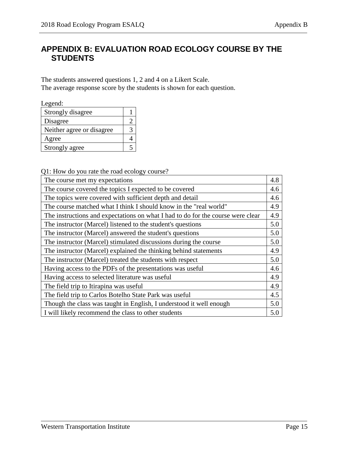## <span id="page-14-0"></span>**APPENDIX B: EVALUATION ROAD ECOLOGY COURSE BY THE STUDENTS**

The students answered questions 1, 2 and 4 on a Likert Scale. The average response score by the students is shown for each question.

Legend:

| Strongly disagree         |  |
|---------------------------|--|
| Disagree                  |  |
| Neither agree or disagree |  |
| Agree                     |  |
| Strongly agree            |  |

Q1: How do you rate the road ecology course?

| The course met my expectations                                                  | 4.8 |
|---------------------------------------------------------------------------------|-----|
| The course covered the topics I expected to be covered                          | 4.6 |
| The topics were covered with sufficient depth and detail                        | 4.6 |
| The course matched what I think I should know in the "real world"               | 4.9 |
| The instructions and expectations on what I had to do for the course were clear | 4.9 |
| The instructor (Marcel) listened to the student's questions                     | 5.0 |
| The instructor (Marcel) answered the student's questions                        | 5.0 |
| The instructor (Marcel) stimulated discussions during the course                | 5.0 |
| The instructor (Marcel) explained the thinking behind statements                | 4.9 |
| The instructor (Marcel) treated the students with respect                       | 5.0 |
| Having access to the PDFs of the presentations was useful                       | 4.6 |
| Having access to selected literature was useful                                 | 4.9 |
| The field trip to Itirapina was useful.                                         | 4.9 |
| The field trip to Carlos Botelho State Park was useful                          | 4.5 |
| Though the class was taught in English, I understood it well enough             | 5.0 |
| I will likely recommend the class to other students                             | 5.0 |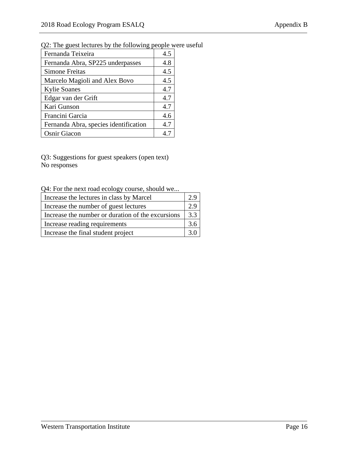| Fernanda Teixeira                     | 4.5 |
|---------------------------------------|-----|
| Fernanda Abra, SP225 underpasses      | 4.8 |
| <b>Simone Freitas</b>                 | 4.5 |
| Marcelo Magioli and Alex Bovo         | 4.5 |
| <b>Kylie Soanes</b>                   | 4.7 |
| Edgar van der Grift                   | 4.7 |
| Kari Gunson                           | 4.7 |
| Francini Garcia                       | 4.6 |
| Fernanda Abra, species identification | 4.7 |
| <b>Osnir Giacon</b>                   |     |

#### Q2: The guest lectures by the following people were useful

Q3: Suggestions for guest speakers (open text) No responses

Q4: For the next road ecology course, should we...

| Increase the lectures in class by Marcel          | 29  |
|---------------------------------------------------|-----|
| Increase the number of guest lectures             | 7 Q |
| Increase the number or duration of the excursions | 3.3 |
| Increase reading requirements                     | 3.6 |
| Increase the final student project                |     |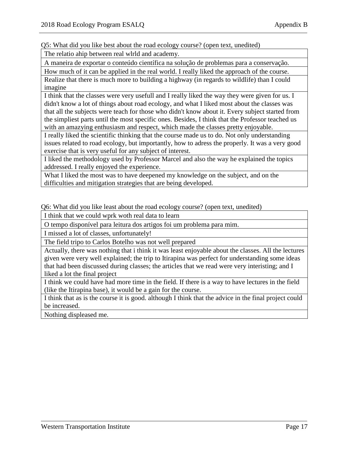Q5: What did you like best about the road ecology course? (open text, unedited)

The relatio ahip between real wlrld and academy.

A maneira de exportar o conteúdo científica na solução de problemas para a conservação.

How much of it can be applied in the real world. I really liked the approach of the course. Realize that there is much more to building a highway (in regards to wildlife) than I could imagine

I think that the classes were very usefull and I really liked the way they were given for us. I didn't know a lot of things about road ecology, and what I liked most about the classes was that all the subjects were teach for those who didn't know about it. Every subject started from the simpliest parts until the most specific ones. Besides, I think that the Professor teached us with an amazying enthusiasm and respect, which made the classes pretty enjoyable.

I really liked the scientific thinking that the course made us to do. Not only understanding issues related to road ecology, but importantly, how to adress the properly. It was a very good exercise that is very useful for any subject of interest.

I liked the methodology used by Professor Marcel and also the way he explained the topics addressed. I really enjoyed the experience.

What I liked the most was to have deepened my knowledge on the subject, and on the difficulties and mitigation strategies that are being developed.

Q6: What did you like least about the road ecology course? (open text, unedited)

I think that we could wprk woth real data to learn

O tempo disponível para leitura dos artigos foi um problema para mim.

I missed a lot of classes, unfortunately!

The field tripo to Carlos Botelho was not well prepared

Actually, there was nothing that i think it was least enjoyable about the classes. All the lectures given were very well explained; the trip to Itirapina was perfect for understanding some ideas that had been discussed during classes; the articles that we read were very interisting; and I liked a lot the final project

I think we could have had more time in the field. If there is a way to have lectures in the field (like the Itirapina base), it would be a gain for the course.

I think that as is the course it is good. although I think that the advice in the final project could be increased.

Nothing displeased me.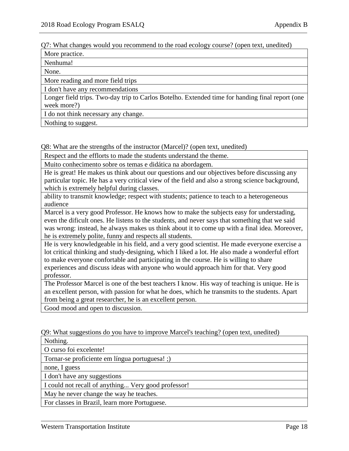Q7: What changes would you recommend to the road ecology course? (open text, unedited)

More practice.

Nenhuma!

None.

More reading and more field trips

I don't have any recommendations

Longer field trips. Two-day trip to Carlos Botelho. Extended time for handing final report (one week more?)

I do not think necessary any change.

Nothing to suggest.

Q8: What are the strengths of the instructor (Marcel)? (open text, unedited)

Respect and the efflorts to made the students understand the theme.

Muito conhecimento sobre os temas e didática na abordagem.

He is great! He makes us think about our questions and our objectives before discussing any particular topic. He has a very critical view of the field and also a strong science background, which is extremely helpful during classes.

ability to transmit knowledge; respect with students; patience to teach to a heterogeneous audience

Marcel is a very good Professor. He knows how to make the subjects easy for understading, even the dificult ones. He listens to the students, and never says that something that we said was wrong: instead, he always makes us think about it to come up with a final idea. Moreover, he is extremely polite, funny and respects all students.

He is very knowledgeable in his field, and a very good scientist. He made everyone exercise a lot critical thinking and study-designing, which I liked a lot. He also made a wonderful effort to make everyone confortable and participating in the course. He is willing to share experiences and discuss ideas with anyone who would approach him for that. Very good professor.

The Professor Marcel is one of the best teachers I know. His way of teaching is unique. He is an excellent person, with passion for what he does, which he transmits to the students. Apart from being a great researcher, he is an excellent person.

Good mood and open to discussion.

Q9: What suggestions do you have to improve Marcel's teaching? (open text, unedited)

Nothing.

O curso foi excelente!

Tornar-se proficiente em língua portuguesa! ;)

none, I guess

I don't have any suggestions

I could not recall of anything... Very good professor!

May he never change the way he teaches.

For classes in Brazil, learn more Portuguese.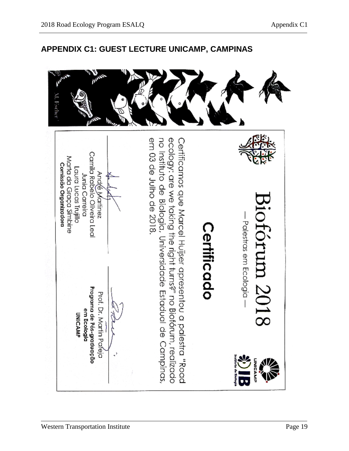

# <span id="page-18-0"></span>**APPENDIX C1: GUEST LECTURE UNICAMP, CAMPINAS**

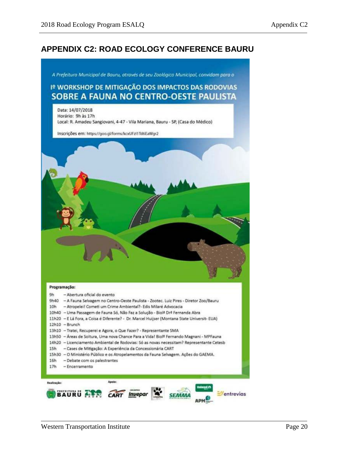### <span id="page-19-0"></span>**APPENDIX C2: ROAD ECOLOGY CONFERENCE BAURU**

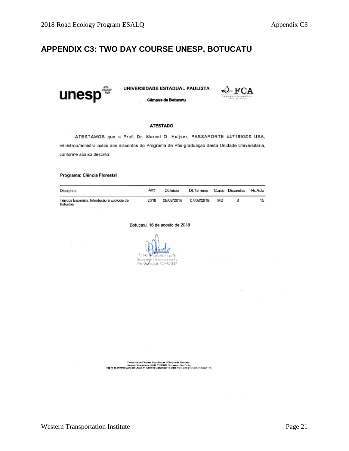### <span id="page-20-0"></span>**APPENDIX C3: TWO DAY COURSE UNESP, BOTUCATU**



UNIVERSIDADE ESTADUAL PAULISTA



Câmpus de Botucatu

#### **ATESTADO**

ATESTAMOS que o Prof. Dr. Marcel O. Huijser, PASSAPORTE 447169300 USA, ministrou/ministra aulas aos discentes do Programa de Pós-graduação desta Unidade Universitária, conforme abaixo descrito:

#### Programa: Ciência Florestal

| Disciplina                                              | cnA  | <b>Dt Início</b> | Dt.Término |           | Curso Discentes | Hr/Aula |
|---------------------------------------------------------|------|------------------|------------|-----------|-----------------|---------|
| Tópicos Especiais: Introdução à Ecologia de<br>Estradas | 2018 | 06/08/2018       | 07/08/2018 | <b>MD</b> |                 | 15      |

Botucatu, 16 de agosto de 2018

Fos Ochiacae-FCA/UNESP

Paculitate de Dénoise Agrantimiste - Diffraux de Robissiu -<br>Pagna de Montei Universitate : Scop, 19510031, Pagna de Monte<br>Pagna de Montei : Avaloise - Diffraux Cameroid: 14-2000-710, CNFJ: 45.024.910.002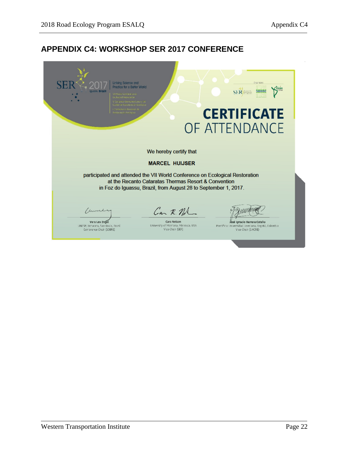### <span id="page-21-0"></span>**APPENDIX C4: WORKSHOP SER 2017 CONFERENCE**